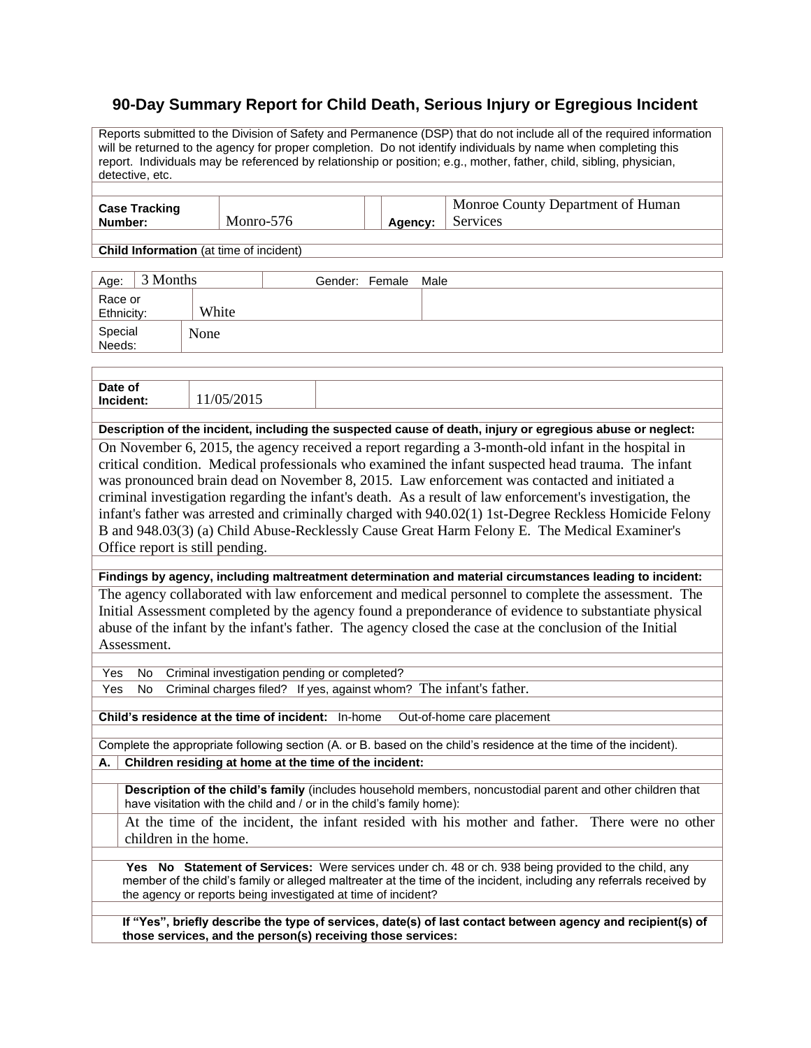## **90-Day Summary Report for Child Death, Serious Injury or Egregious Incident**

Reports submitted to the Division of Safety and Permanence (DSP) that do not include all of the required information will be returned to the agency for proper completion. Do not identify individuals by name when completing this report. Individuals may be referenced by relationship or position; e.g., mother, father, child, sibling, physician, detective, etc. **Case Tracking Number:** Monro-576 **Agency:** Monroe County Department of Human Services **Child Information** (at time of incident) Age: 3 Months Gender: Female Male Race or Ethnicity: White Special Needs: None Date of<br>Incident: **Incident:** 11/05/2015 **Description of the incident, including the suspected cause of death, injury or egregious abuse or neglect:** On November 6, 2015, the agency received a report regarding a 3-month-old infant in the hospital in critical condition. Medical professionals who examined the infant suspected head trauma. The infant was pronounced brain dead on November 8, 2015. Law enforcement was contacted and initiated a criminal investigation regarding the infant's death. As a result of law enforcement's investigation, the infant's father was arrested and criminally charged with 940.02(1) 1st-Degree Reckless Homicide Felony B and 948.03(3) (a) Child Abuse-Recklessly Cause Great Harm Felony E. The Medical Examiner's Office report is still pending. **Findings by agency, including maltreatment determination and material circumstances leading to incident:** The agency collaborated with law enforcement and medical personnel to complete the assessment. The Initial Assessment completed by the agency found a preponderance of evidence to substantiate physical abuse of the infant by the infant's father. The agency closed the case at the conclusion of the Initial Assessment. Yes No Criminal investigation pending or completed? Yes No Criminal charges filed? If yes, against whom? The infant's father. **Child's residence at the time of incident:** In-home Out-of-home care placement Complete the appropriate following section (A. or B. based on the child's residence at the time of the incident). **A. Children residing at home at the time of the incident: Description of the child's family** (includes household members, noncustodial parent and other children that have visitation with the child and / or in the child's family home): At the time of the incident, the infant resided with his mother and father. There were no other children in the home. **Yes No Statement of Services:** Were services under ch. 48 or ch. 938 being provided to the child, any member of the child's family or alleged maltreater at the time of the incident, including any referrals received by the agency or reports being investigated at time of incident? **If "Yes", briefly describe the type of services, date(s) of last contact between agency and recipient(s) of those services, and the person(s) receiving those services:**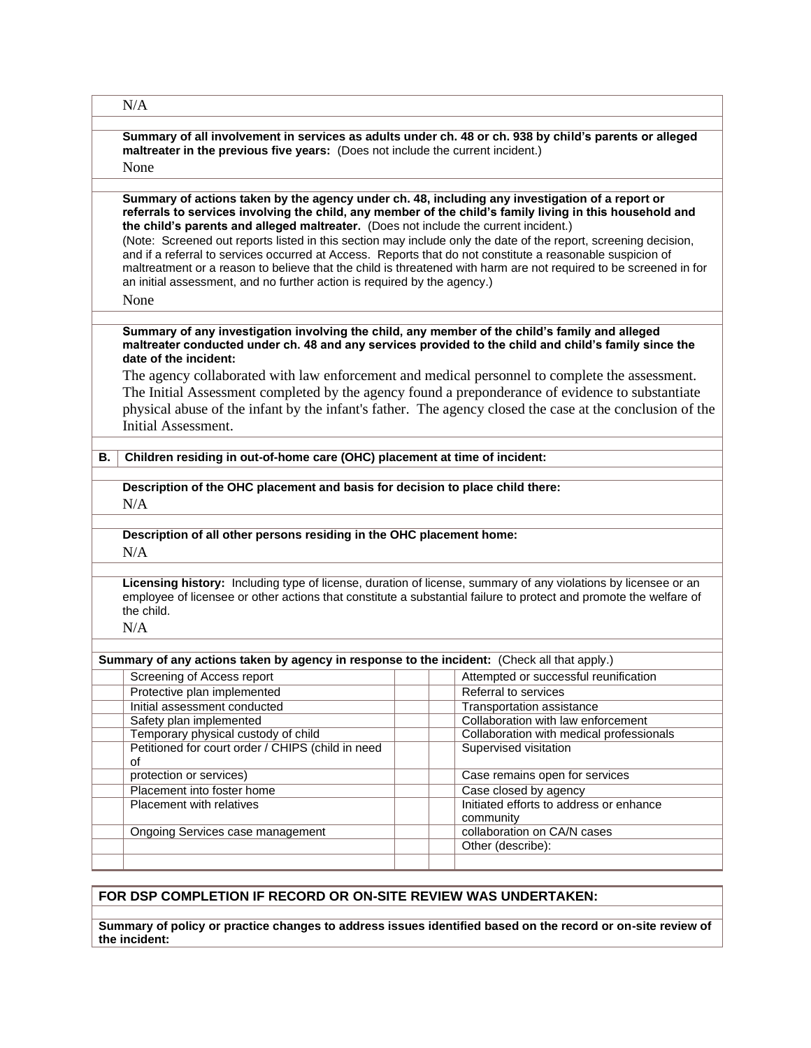|                                                                                             | N/A                                                                                                                                                                                                                                                                                                                                                                                                                                                                                                                                                                                                                                                                                                                                           |                                                                               |  |  |  |
|---------------------------------------------------------------------------------------------|-----------------------------------------------------------------------------------------------------------------------------------------------------------------------------------------------------------------------------------------------------------------------------------------------------------------------------------------------------------------------------------------------------------------------------------------------------------------------------------------------------------------------------------------------------------------------------------------------------------------------------------------------------------------------------------------------------------------------------------------------|-------------------------------------------------------------------------------|--|--|--|
|                                                                                             | Summary of all involvement in services as adults under ch. 48 or ch. 938 by child's parents or alleged<br>maltreater in the previous five years: (Does not include the current incident.)                                                                                                                                                                                                                                                                                                                                                                                                                                                                                                                                                     |                                                                               |  |  |  |
|                                                                                             | None                                                                                                                                                                                                                                                                                                                                                                                                                                                                                                                                                                                                                                                                                                                                          |                                                                               |  |  |  |
|                                                                                             | Summary of actions taken by the agency under ch. 48, including any investigation of a report or<br>referrals to services involving the child, any member of the child's family living in this household and<br>the child's parents and alleged maltreater. (Does not include the current incident.)<br>(Note: Screened out reports listed in this section may include only the date of the report, screening decision,<br>and if a referral to services occurred at Access. Reports that do not constitute a reasonable suspicion of<br>maltreatment or a reason to believe that the child is threatened with harm are not required to be screened in for<br>an initial assessment, and no further action is required by the agency.)<br>None |                                                                               |  |  |  |
|                                                                                             | Summary of any investigation involving the child, any member of the child's family and alleged<br>maltreater conducted under ch. 48 and any services provided to the child and child's family since the<br>date of the incident:                                                                                                                                                                                                                                                                                                                                                                                                                                                                                                              |                                                                               |  |  |  |
|                                                                                             | The agency collaborated with law enforcement and medical personnel to complete the assessment.<br>The Initial Assessment completed by the agency found a preponderance of evidence to substantiate<br>physical abuse of the infant by the infant's father. The agency closed the case at the conclusion of the<br>Initial Assessment.                                                                                                                                                                                                                                                                                                                                                                                                         |                                                                               |  |  |  |
| В.                                                                                          | Children residing in out-of-home care (OHC) placement at time of incident:                                                                                                                                                                                                                                                                                                                                                                                                                                                                                                                                                                                                                                                                    |                                                                               |  |  |  |
|                                                                                             |                                                                                                                                                                                                                                                                                                                                                                                                                                                                                                                                                                                                                                                                                                                                               |                                                                               |  |  |  |
|                                                                                             | Description of the OHC placement and basis for decision to place child there:<br>N/A                                                                                                                                                                                                                                                                                                                                                                                                                                                                                                                                                                                                                                                          |                                                                               |  |  |  |
|                                                                                             | Description of all other persons residing in the OHC placement home:<br>N/A                                                                                                                                                                                                                                                                                                                                                                                                                                                                                                                                                                                                                                                                   |                                                                               |  |  |  |
|                                                                                             | Licensing history: Including type of license, duration of license, summary of any violations by licensee or an<br>employee of licensee or other actions that constitute a substantial failure to protect and promote the welfare of<br>the child.<br>N/A                                                                                                                                                                                                                                                                                                                                                                                                                                                                                      |                                                                               |  |  |  |
| Summary of any actions taken by agency in response to the incident: (Check all that apply.) |                                                                                                                                                                                                                                                                                                                                                                                                                                                                                                                                                                                                                                                                                                                                               |                                                                               |  |  |  |
|                                                                                             | Screening of Access report                                                                                                                                                                                                                                                                                                                                                                                                                                                                                                                                                                                                                                                                                                                    | Attempted or successful reunification                                         |  |  |  |
|                                                                                             | Protective plan implemented                                                                                                                                                                                                                                                                                                                                                                                                                                                                                                                                                                                                                                                                                                                   | Referral to services                                                          |  |  |  |
|                                                                                             | Initial assessment conducted                                                                                                                                                                                                                                                                                                                                                                                                                                                                                                                                                                                                                                                                                                                  | Transportation assistance                                                     |  |  |  |
|                                                                                             | Safety plan implemented                                                                                                                                                                                                                                                                                                                                                                                                                                                                                                                                                                                                                                                                                                                       | Collaboration with law enforcement                                            |  |  |  |
|                                                                                             | Temporary physical custody of child                                                                                                                                                                                                                                                                                                                                                                                                                                                                                                                                                                                                                                                                                                           | Collaboration with medical professionals                                      |  |  |  |
|                                                                                             | Petitioned for court order / CHIPS (child in need                                                                                                                                                                                                                                                                                                                                                                                                                                                                                                                                                                                                                                                                                             | Supervised visitation                                                         |  |  |  |
|                                                                                             | of                                                                                                                                                                                                                                                                                                                                                                                                                                                                                                                                                                                                                                                                                                                                            |                                                                               |  |  |  |
|                                                                                             | protection or services)                                                                                                                                                                                                                                                                                                                                                                                                                                                                                                                                                                                                                                                                                                                       | Case remains open for services                                                |  |  |  |
|                                                                                             | Placement into foster home<br>Placement with relatives                                                                                                                                                                                                                                                                                                                                                                                                                                                                                                                                                                                                                                                                                        | Case closed by agency<br>Initiated efforts to address or enhance<br>community |  |  |  |
|                                                                                             | Ongoing Services case management                                                                                                                                                                                                                                                                                                                                                                                                                                                                                                                                                                                                                                                                                                              | collaboration on CA/N cases                                                   |  |  |  |
|                                                                                             |                                                                                                                                                                                                                                                                                                                                                                                                                                                                                                                                                                                                                                                                                                                                               | Other (describe):                                                             |  |  |  |
|                                                                                             |                                                                                                                                                                                                                                                                                                                                                                                                                                                                                                                                                                                                                                                                                                                                               |                                                                               |  |  |  |
|                                                                                             |                                                                                                                                                                                                                                                                                                                                                                                                                                                                                                                                                                                                                                                                                                                                               |                                                                               |  |  |  |

## **FOR DSP COMPLETION IF RECORD OR ON-SITE REVIEW WAS UNDERTAKEN:**

**Summary of policy or practice changes to address issues identified based on the record or on-site review of the incident:**